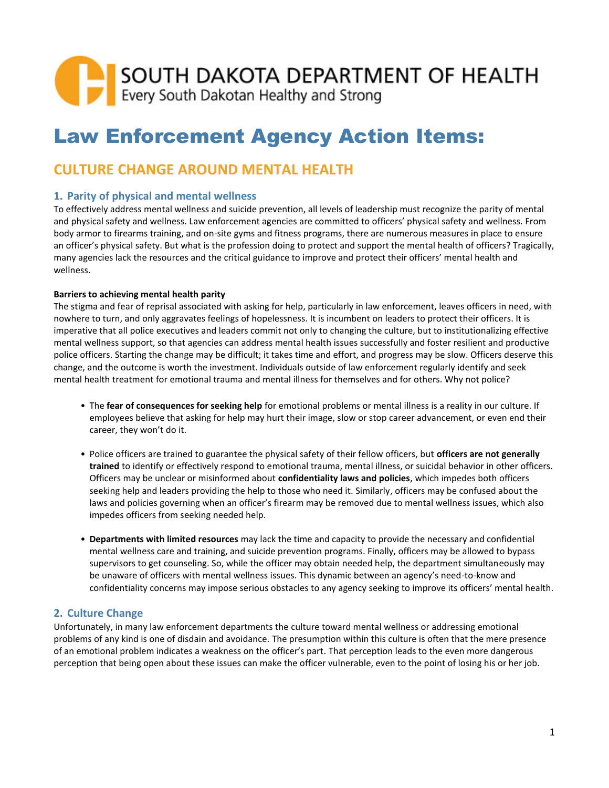# SOUTH DAKOTA DEPARTMENT OF HEALTH<br>Every South Dakotan Healthy and Strong

## Law Enforcement Agency Action Items:

### **CULTURE CHANGE AROUND MENTAL HEALTH**

#### **1. Parity of physical and mental wellness**

To effectively address mental wellness and suicide prevention, all levels of leadership must recognize the parity of mental and physical safety and wellness. Law enforcement agencies are committed to officers' physical safety and wellness. From body armor to firearms training, and on-site gyms and fitness programs, there are numerous measures in place to ensure an officer's physical safety. But what is the profession doing to protect and support the mental health of officers? Tragically, many agencies lack the resources and the critical guidance to improve and protect their officers' mental health and wellness.

#### **Barriers to achieving mental health parity**

The stigma and fear of reprisal associated with asking for help, particularly in law enforcement, leaves officers in need, with nowhere to turn, and only aggravates feelings of hopelessness. It is incumbent on leaders to protect their officers. It is imperative that all police executives and leaders commit not only to changing the culture, but to institutionalizing effective mental wellness support, so that agencies can address mental health issues successfully and foster resilient and productive police officers. Starting the change may be difficult; it takes time and effort, and progress may be slow. Officers deserve this change, and the outcome is worth the investment. Individuals outside of law enforcement regularly identify and seek mental health treatment for emotional trauma and mental illness for themselves and for others. Why not police?

- The **fear of consequences for seeking help** for emotional problems or mental illness is a reality in our culture. If employees believe that asking for help may hurt their image, slow or stop career advancement, or even end their career, they won't do it.
- Police officers are trained to guarantee the physical safety of their fellow officers, but **officers are not generally trained** to identify or effectively respond to emotional trauma, mental illness, or suicidal behavior in other officers. Officers may be unclear or misinformed about **confidentiality laws and policies**, which impedes both officers seeking help and leaders providing the help to those who need it. Similarly, officers may be confused about the laws and policies governing when an officer's firearm may be removed due to mental wellness issues, which also impedes officers from seeking needed help.
- **Departments with limited resources** may lack the time and capacity to provide the necessary and confidential mental wellness care and training, and suicide prevention programs. Finally, officers may be allowed to bypass supervisors to get counseling. So, while the officer may obtain needed help, the department simultaneously may be unaware of officers with mental wellness issues. This dynamic between an agency's need-to-know and confidentiality concerns may impose serious obstacles to any agency seeking to improve its officers' mental health.

#### **2. Culture Change**

Unfortunately, in many law enforcement departments the culture toward mental wellness or addressing emotional problems of any kind is one of disdain and avoidance. The presumption within this culture is often that the mere presence of an emotional problem indicates a weakness on the officer's part. That perception leads to the even more dangerous perception that being open about these issues can make the officer vulnerable, even to the point of losing his or her job.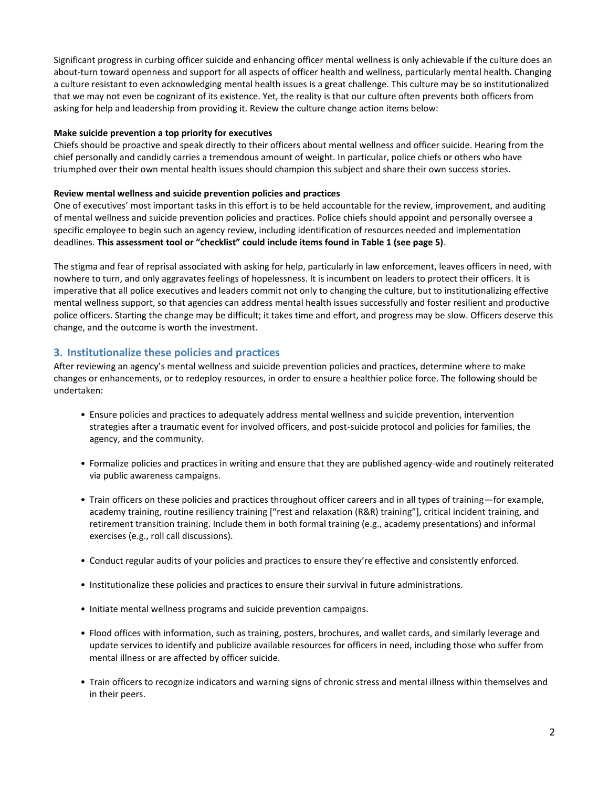Significant progress in curbing officer suicide and enhancing officer mental wellness is only achievable if the culture does an about-turn toward openness and support for all aspects of officer health and wellness, particularly mental health. Changing a culture resistant to even acknowledging mental health issues is a great challenge. This culture may be so institutionalized that we may not even be cognizant of its existence. Yet, the reality is that our culture often prevents both officers from asking for help and leadership from providing it. Review the culture change action items below:

#### **Make suicide prevention a top priority for executives**

Chiefs should be proactive and speak directly to their officers about mental wellness and officer suicide. Hearing from the chief personally and candidly carries a tremendous amount of weight. In particular, police chiefs or others who have triumphed over their own mental health issues should champion this subject and share their own success stories.

#### **Review mental wellness and suicide prevention policies and practices**

One of executives' most important tasks in this effort is to be held accountable for the review, improvement, and auditing of mental wellness and suicide prevention policies and practices. Police chiefs should appoint and personally oversee a specific employee to begin such an agency review, including identification of resources needed and implementation deadlines. **This assessment tool or "checklist" could include items found in Table 1 (see page 5)**.

The stigma and fear of reprisal associated with asking for help, particularly in law enforcement, leaves officers in need, with nowhere to turn, and only aggravates feelings of hopelessness. It is incumbent on leaders to protect their officers. It is imperative that all police executives and leaders commit not only to changing the culture, but to institutionalizing effective mental wellness support, so that agencies can address mental health issues successfully and foster resilient and productive police officers. Starting the change may be difficult; it takes time and effort, and progress may be slow. Officers deserve this change, and the outcome is worth the investment.

#### **3. Institutionalize these policies and practices**

After reviewing an agency's mental wellness and suicide prevention policies and practices, determine where to make changes or enhancements, or to redeploy resources, in order to ensure a healthier police force. The following should be undertaken:

- Ensure policies and practices to adequately address mental wellness and suicide prevention, intervention strategies after a traumatic event for involved officers, and post-suicide protocol and policies for families, the agency, and the community.
- Formalize policies and practices in writing and ensure that they are published agency-wide and routinely reiterated via public awareness campaigns.
- Train officers on these policies and practices throughout officer careers and in all types of training—for example, academy training, routine resiliency training ["rest and relaxation (R&R) training"], critical incident training, and retirement transition training. Include them in both formal training (e.g., academy presentations) and informal exercises (e.g., roll call discussions).
- Conduct regular audits of your policies and practices to ensure they're effective and consistently enforced.
- Institutionalize these policies and practices to ensure their survival in future administrations.
- Initiate mental wellness programs and suicide prevention campaigns.
- Flood offices with information, such as training, posters, brochures, and wallet cards, and similarly leverage and update services to identify and publicize available resources for officers in need, including those who suffer from mental illness or are affected by officer suicide.
- Train officers to recognize indicators and warning signs of chronic stress and mental illness within themselves and in their peers.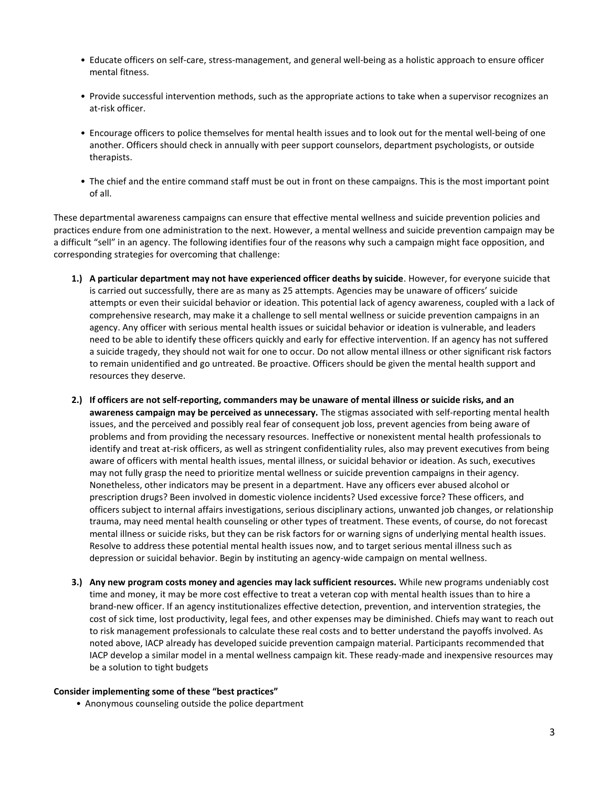- Educate officers on self-care, stress-management, and general well-being as a holistic approach to ensure officer mental fitness.
- Provide successful intervention methods, such as the appropriate actions to take when a supervisor recognizes an at-risk officer.
- Encourage officers to police themselves for mental health issues and to look out for the mental well-being of one another. Officers should check in annually with peer support counselors, department psychologists, or outside therapists.
- The chief and the entire command staff must be out in front on these campaigns. This is the most important point of all.

These departmental awareness campaigns can ensure that effective mental wellness and suicide prevention policies and practices endure from one administration to the next. However, a mental wellness and suicide prevention campaign may be a difficult "sell" in an agency. The following identifies four of the reasons why such a campaign might face opposition, and corresponding strategies for overcoming that challenge:

- **1.) A particular department may not have experienced officer deaths by suicide**. However, for everyone suicide that is carried out successfully, there are as many as 25 attempts. Agencies may be unaware of officers' suicide attempts or even their suicidal behavior or ideation. This potential lack of agency awareness, coupled with a lack of comprehensive research, may make it a challenge to sell mental wellness or suicide prevention campaigns in an agency. Any officer with serious mental health issues or suicidal behavior or ideation is vulnerable, and leaders need to be able to identify these officers quickly and early for effective intervention. If an agency has not suffered a suicide tragedy, they should not wait for one to occur. Do not allow mental illness or other significant risk factors to remain unidentified and go untreated. Be proactive. Officers should be given the mental health support and resources they deserve.
- **2.) If officers are not self-reporting, commanders may be unaware of mental illness or suicide risks, and an awareness campaign may be perceived as unnecessary.** The stigmas associated with self-reporting mental health issues, and the perceived and possibly real fear of consequent job loss, prevent agencies from being aware of problems and from providing the necessary resources. Ineffective or nonexistent mental health professionals to identify and treat at-risk officers, as well as stringent confidentiality rules, also may prevent executives from being aware of officers with mental health issues, mental illness, or suicidal behavior or ideation. As such, executives may not fully grasp the need to prioritize mental wellness or suicide prevention campaigns in their agency. Nonetheless, other indicators may be present in a department. Have any officers ever abused alcohol or prescription drugs? Been involved in domestic violence incidents? Used excessive force? These officers, and officers subject to internal affairs investigations, serious disciplinary actions, unwanted job changes, or relationship trauma, may need mental health counseling or other types of treatment. These events, of course, do not forecast mental illness or suicide risks, but they can be risk factors for or warning signs of underlying mental health issues. Resolve to address these potential mental health issues now, and to target serious mental illness such as depression or suicidal behavior. Begin by instituting an agency-wide campaign on mental wellness.
- **3.) Any new program costs money and agencies may lack sufficient resources.** While new programs undeniably cost time and money, it may be more cost effective to treat a veteran cop with mental health issues than to hire a brand-new officer. If an agency institutionalizes effective detection, prevention, and intervention strategies, the cost of sick time, lost productivity, legal fees, and other expenses may be diminished. Chiefs may want to reach out to risk management professionals to calculate these real costs and to better understand the payoffs involved. As noted above, IACP already has developed suicide prevention campaign material. Participants recommended that IACP develop a similar model in a mental wellness campaign kit. These ready-made and inexpensive resources may be a solution to tight budgets

#### **Consider implementing some of these "best practices"**

• Anonymous counseling outside the police department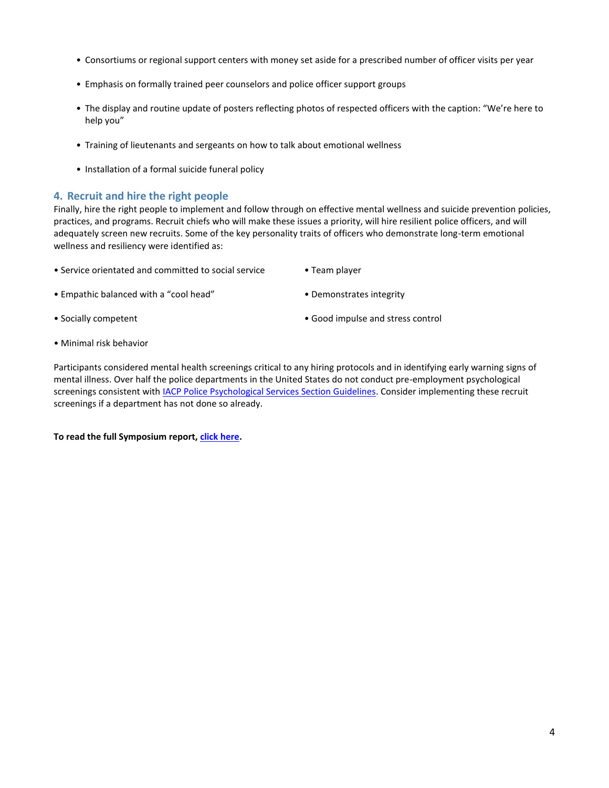- Consortiums or regional support centers with money set aside for a prescribed number of officer visits per year
- Emphasis on formally trained peer counselors and police officer support groups
- The display and routine update of posters reflecting photos of respected officers with the caption: "We're here to help you"
- Training of lieutenants and sergeants on how to talk about emotional wellness
- Installation of a formal suicide funeral policy

#### **4. Recruit and hire the right people**

Finally, hire the right people to implement and follow through on effective mental wellness and suicide prevention policies, practices, and programs. Recruit chiefs who will make these issues a priority, will hire resilient police officers, and will adequately screen new recruits. Some of the key personality traits of officers who demonstrate long-term emotional wellness and resiliency were identified as:

- Service orientated and committed to social service Team player
	-
- Empathic balanced with a "cool head" Demonstrates integrity
- 
- 
- Socially competent Cool impulse and stress control
- Minimal risk behavior

Participants considered mental health screenings critical to any hiring protocols and in identifying early warning signs of mental illness. Over half the police departments in the United States do not conduct pre-employment psychological screenings consistent with **IACP Police Psychological Services Section Guidelines**. Consider implementing these recruit screenings if a department has not done so already.

#### **To read the full Symposium report, [click here.](https://www.theiacp.org/sites/default/files/Officer_Suicide_Report.pdf)**